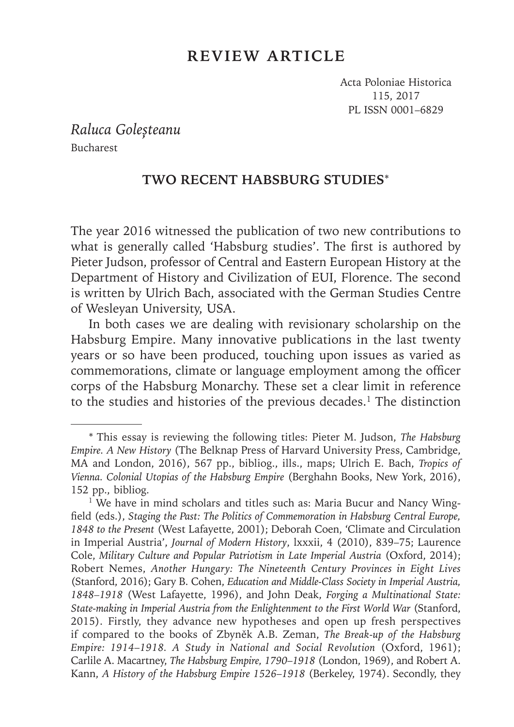## **REVIEW ARTICLE**

Acta Poloniae Historica 115, 2017 PL ISSN 0001–6829

*Raluca Goleșteanu* Bucharest

## **TWO RECENT HABSBURG STUDIES**\*

The year 2016 witnessed the publication of two new contributions to what is generally called 'Habsburg studies'. The first is authored by Pieter Judson, professor of Central and Eastern European History at the Department of History and Civilization of EUI, Florence. The second is written by Ulrich Bach, associated with the German Studies Centre of Wesleyan University, USA.

In both cases we are dealing with revisionary scholarship on the Habsburg Empire. Many innovative publications in the last twenty years or so have been produced, touching upon issues as varied as commemorations, climate or language employment among the officer corps of the Habsburg Monarchy. These set a clear limit in reference to the studies and histories of the previous decades.<sup>1</sup> The distinction

<sup>\*</sup> This essay is reviewing the following titles: Pieter M. Judson, *The Habsburg Empire. A New History* (The Belknap Press of Harvard University Press, Cambridge, MA and London, 2016), 567 pp., bibliog., ills., maps; Ulrich E. Bach, *Tropics of Vienna. Colonial Utopias of the Habsburg Empire* (Berghahn Books, New York, 2016), 152 pp., bibliog.

<sup>&</sup>lt;sup>1</sup> We have in mind scholars and titles such as: Maria Bucur and Nancy Wingfield (eds.), *Staging the Past: The Politics of Commemoration in Habsburg Central Europe*, *1848 to the Present* (West Lafayette, 2001); Deborah Coen, 'Climate and Circulation in Imperial Austria', *Journal of Modern History*, lxxxii, 4 (2010), 839–75; Laurence Cole, *Military Culture and Popular Patriotism in Late Imperial Austria* (Oxford, 2014); Robert Nemes, *Another Hungary: The Nineteenth Century Provinces in Eight Lives* (Stanford, 2016); Gary B. Cohen, *Education and Middle-Class Society in Imperial Austria, 1848–1918* (West Lafayette, 1996), and John Deak, *Forging a Multinational State: State-making in Imperial Austria from the Enlightenment to the First World War* (Stanford, 2015). Firstly, they advance new hypotheses and open up fresh perspectives if compared to the books of Zbyněk A.B. Zeman, *The Break-up of the Habsburg Empire: 1914*–*1918. A Study in National and Social Revolution* (Oxford, 1961); Carlile A. Macartney, *The Habsburg Empire, 1790*–*1918* (London, 1969), and Robert A. Kann, *A History of the Habsburg Empire 1526*–*1918* (Berkeley, 1974). Secondly, they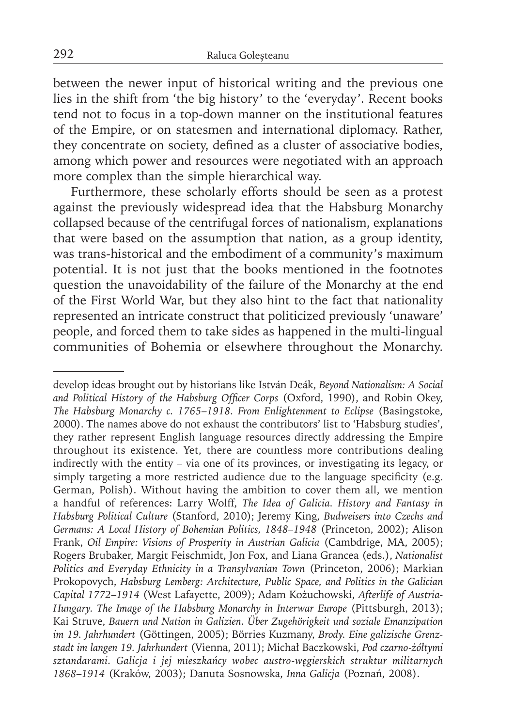between the newer input of historical writing and the previous one lies in the shift from 'the big history' to the 'everyday'. Recent books tend not to focus in a top-down manner on the institutional features of the Empire, or on statesmen and international diplomacy. Rather, they concentrate on society, defined as a cluster of associative bodies, among which power and resources were negotiated with an approach more complex than the simple hierarchical way.

Furthermore, these scholarly efforts should be seen as a protest against the previously widespread idea that the Habsburg Monarchy collapsed because of the centrifugal forces of nationalism, explanations that were based on the assumption that nation, as a group identity, was trans-historical and the embodiment of a community's maximum potential. It is not just that the books mentioned in the footnotes question the unavoidability of the failure of the Monarchy at the end of the First World War, but they also hint to the fact that nationality represented an intricate construct that politicized previously 'unaware' people, and forced them to take sides as happened in the multi-lingual communities of Bohemia or elsewhere throughout the Monarchy.

develop ideas brought out by historians like István Deák, *Beyond Nationalism: A Social*  and Political History of the Habsburg Officer Corps (Oxford, 1990), and Robin Okey, *The Habsburg Monarchy c. 1765*–*1918. From Enlightenment to Eclipse* (Basingstoke, 2000). The names above do not exhaust the contributors' list to 'Habsburg studies', they rather represent English language resources directly addressing the Empire throughout its existence. Yet, there are countless more contributions dealing indirectly with the entity – via one of its provinces, or investigating its legacy, or simply targeting a more restricted audience due to the language specificity (e.g. German, Polish). Without having the ambition to cover them all, we mention a handful of references: Larry Wolff, *The Idea of Galicia. History and Fantasy in Habsburg Political Culture* (Stanford, 2010); Jeremy King, *Budweisers into Czechs and Germans: A Local History of Bohemian Politics, 1848–1948* (Princeton, 2002); Alison Frank, *Oil Empire: Visions of Prosperity in Austrian Galicia* (Cambdrige, MA, 2005); Rogers Brubaker, Margit Feischmidt, Jon Fox, and Liana Grancea (eds.), *Nationalist Politics and Everyday Ethnicity in a Transylvanian Town* (Princeton, 2006); Markian Prokopovych, *Habsburg Lemberg: Architecture, Public Space, and Politics in the Galician Capital 1772*–*1914* (West Lafayette, 2009); Adam Kożuchowski, *Afterlife of Austria-Hungary. The Image of the Habsburg Monarchy in Interwar Europe* (Pittsburgh, 2013); Kai Struve, *Bauern und Nation in Galizien. Über Zugehörigkeit und soziale Emanzipation im 19. Jahrhundert* (Göttingen, 2005); Börries Kuzmany, *Brody. Eine galizische Grenzstadt im langen 19. Jahrhundert* (Vienna, 2011); Michał Baczkowski, *Pod czarno-żółtymi sztandarami. Galicja i jej mieszkańcy wobec austro-węgierskich struktur militarnych 1868*–*1914* (Kraków, 2003); Danuta Sosnowska, *Inna Galicja* (Poznań, 2008).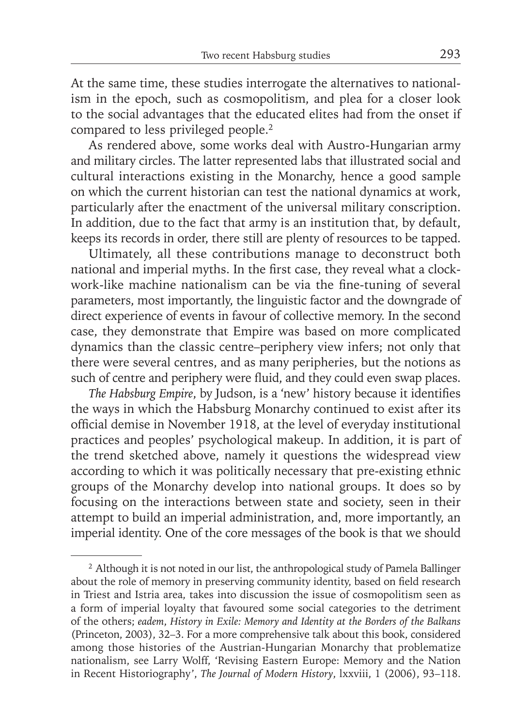At the same time, these studies interrogate the alternatives to nationalism in the epoch, such as cosmopolitism, and plea for a closer look to the social advantages that the educated elites had from the onset if compared to less privileged people.<sup>2</sup>

As rendered above, some works deal with Austro-Hungarian army and military circles. The latter represented labs that illustrated social and cultural interactions existing in the Monarchy, hence a good sample on which the current historian can test the national dynamics at work, particularly after the enactment of the universal military conscription. In addition, due to the fact that army is an institution that, by default, keeps its records in order, there still are plenty of resources to be tapped.

Ultimately, all these contributions manage to deconstruct both national and imperial myths. In the first case, they reveal what a clockwork-like machine nationalism can be via the fine-tuning of several parameters, most importantly, the linguistic factor and the downgrade of direct experience of events in favour of collective memory. In the second case, they demonstrate that Empire was based on more complicated dynamics than the classic centre–periphery view infers; not only that there were several centres, and as many peripheries, but the notions as such of centre and periphery were fluid, and they could even swap places.

*The Habsburg Empire*, by Judson, is a 'new' history because it identifies the ways in which the Habsburg Monarchy continued to exist after its official demise in November 1918, at the level of everyday institutional practices and peoples' psychological makeup. In addition, it is part of the trend sketched above, namely it questions the widespread view according to which it was politically necessary that pre-existing ethnic groups of the Monarchy develop into national groups. It does so by focusing on the interactions between state and society, seen in their attempt to build an imperial administration, and, more importantly, an imperial identity. One of the core messages of the book is that we should

<sup>&</sup>lt;sup>2</sup> Although it is not noted in our list, the anthropological study of Pamela Ballinger about the role of memory in preserving community identity, based on field research in Triest and Istria area, takes into discussion the issue of cosmopolitism seen as a form of imperial loyalty that favoured some social categories to the detriment of the others; *eadem*, *History in Exile: Memory and Identity at the Borders of the Balkans* (Princeton, 2003), 32–3. For a more comprehensive talk about this book, considered among those histories of the Austrian-Hungarian Monarchy that problematize nationalism, see Larry Wolff, 'Revising Eastern Europe: Memory and the Nation in Recent Historiography', *The Journal of Modern History*, lxxviii, 1 (2006), 93–118.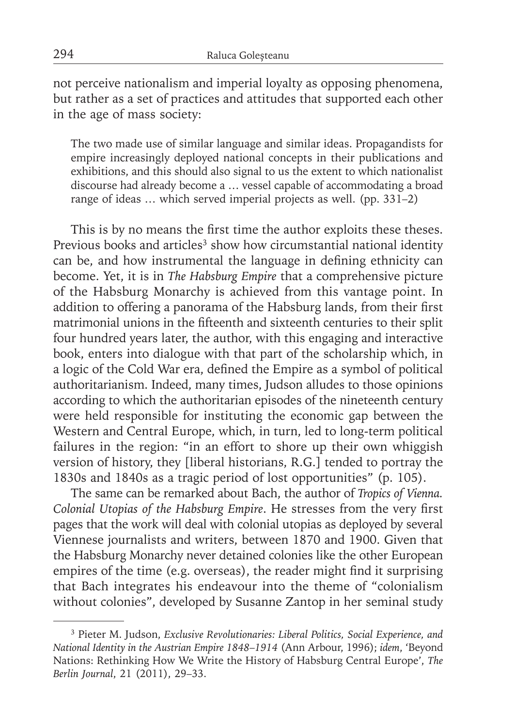not perceive nationalism and imperial loyalty as opposing phenomena, but rather as a set of practices and attitudes that supported each other in the age of mass society:

The two made use of similar language and similar ideas. Propagandists for empire increasingly deployed national concepts in their publications and exhibitions, and this should also signal to us the extent to which nationalist discourse had already become a … vessel capable of accommodating a broad range of ideas … which served imperial projects as well. (pp. 331–2)

This is by no means the first time the author exploits these theses. Previous books and articles<sup>3</sup> show how circumstantial national identity can be, and how instrumental the language in defining ethnicity can become. Yet, it is in *The Habsburg Empire* that a comprehensive picture of the Habsburg Monarchy is achieved from this vantage point. In addition to offering a panorama of the Habsburg lands, from their first matrimonial unions in the fifteenth and sixteenth centuries to their split four hundred years later, the author, with this engaging and interactive book, enters into dialogue with that part of the scholarship which, in a logic of the Cold War era, defined the Empire as a symbol of political authoritarianism. Indeed, many times, Judson alludes to those opinions according to which the authoritarian episodes of the nineteenth century were held responsible for instituting the economic gap between the Western and Central Europe, which, in turn, led to long-term political failures in the region: "in an effort to shore up their own whiggish version of history, they [liberal historians, R.G.] tended to portray the 1830s and 1840s as a tragic period of lost opportunities" (p. 105).

The same can be remarked about Bach, the author of *Tropics of Vienna. Colonial Utopias of the Habsburg Empire*. He stresses from the very first pages that the work will deal with colonial utopias as deployed by several Viennese journalists and writers, between 1870 and 1900. Given that the Habsburg Monarchy never detained colonies like the other European empires of the time (e.g. overseas), the reader might find it surprising that Bach integrates his endeavour into the theme of "colonialism without colonies", developed by Susanne Zantop in her seminal study

<sup>3</sup> Pieter M. Judson, *Exclusive Revolutionaries: Liberal Politics, Social Experience, and National Identity in the Austrian Empire 1848*–*1914* (Ann Arbour, 1996); *idem*, 'Beyond Nations: Rethinking How We Write the History of Habsburg Central Europe', *The Berlin Journal*, 21 (2011), 29–33.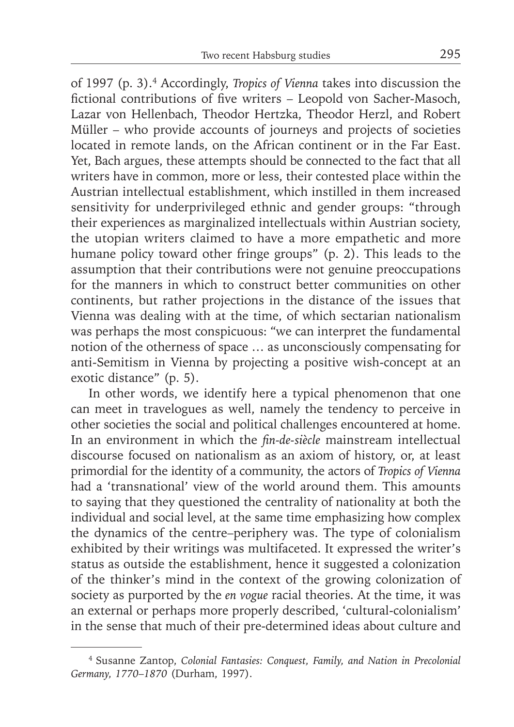of 1997 (p. 3).4 Accordingly, *Tropics of Vienna* takes into discussion the fictional contributions of five writers - Leopold von Sacher-Masoch, Lazar von Hellenbach, Theodor Hertzka, Theodor Herzl, and Robert Müller – who provide accounts of journeys and projects of societies located in remote lands, on the African continent or in the Far East. Yet, Bach argues, these attempts should be connected to the fact that all writers have in common, more or less, their contested place within the Austrian intellectual establishment, which instilled in them increased sensitivity for underprivileged ethnic and gender groups: "through their experiences as marginalized intellectuals within Austrian society, the utopian writers claimed to have a more empathetic and more humane policy toward other fringe groups" (p. 2). This leads to the assumption that their contributions were not genuine preoccupations for the manners in which to construct better communities on other continents, but rather projections in the distance of the issues that Vienna was dealing with at the time, of which sectarian nationalism was perhaps the most conspicuous: "we can interpret the fundamental notion of the otherness of space … as unconsciously compensating for anti-Semitism in Vienna by projecting a positive wish-concept at an exotic distance" (p. 5).

In other words, we identify here a typical phenomenon that one can meet in travelogues as well, namely the tendency to perceive in other societies the social and political challenges encountered at home. In an environment in which the *fin-de-siècle* mainstream intellectual discourse focused on nationalism as an axiom of history, or, at least primordial for the identity of a community, the actors of *Tropics of Vienna* had a 'transnational' view of the world around them. This amounts to saying that they questioned the centrality of nationality at both the individual and social level, at the same time emphasizing how complex the dynamics of the centre–periphery was. The type of colonialism exhibited by their writings was multifaceted. It expressed the writer's status as outside the establishment, hence it suggested a colonization of the thinker's mind in the context of the growing colonization of society as purported by the *en vogue* racial theories. At the time, it was an external or perhaps more properly described, 'cultural-colonialism' in the sense that much of their pre-determined ideas about culture and

<sup>4</sup> Susanne Zantop, *Colonial Fantasies: Conquest, Family, and Nation in Precolonial Germany, 1770*–*1870* (Durham, 1997).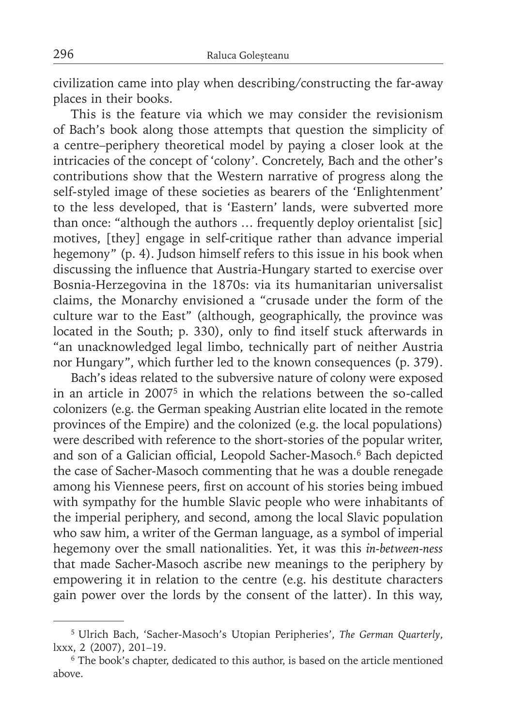civilization came into play when describing/constructing the far-away places in their books.

This is the feature via which we may consider the revisionism of Bach's book along those attempts that question the simplicity of a centre–periphery theoretical model by paying a closer look at the intricacies of the concept of 'colony'. Concretely, Bach and the other's contributions show that the Western narrative of progress along the self-styled image of these societies as bearers of the 'Enlightenment' to the less developed, that is 'Eastern' lands, were subverted more than once: "although the authors … frequently deploy orientalist [sic] motives, [they] engage in self-critique rather than advance imperial hegemony" (p. 4). Judson himself refers to this issue in his book when discussing the influence that Austria-Hungary started to exercise over Bosnia-Herzegovina in the 1870s: via its humanitarian universalist claims, the Monarchy envisioned a "crusade under the form of the culture war to the East" (although, geographically, the province was located in the South; p. 330), only to find itself stuck afterwards in "an unacknowledged legal limbo, technically part of neither Austria nor Hungary", which further led to the known consequences (p. 379).

Bach's ideas related to the subversive nature of colony were exposed in an article in 20075 in which the relations between the so-called colonizers (e.g. the German speaking Austrian elite located in the remote provinces of the Empire) and the colonized (e.g. the local populations) were described with reference to the short-stories of the popular writer, and son of a Galician official, Leopold Sacher-Masoch.<sup>6</sup> Bach depicted the case of Sacher-Masoch commenting that he was a double renegade among his Viennese peers, first on account of his stories being imbued with sympathy for the humble Slavic people who were inhabitants of the imperial periphery, and second, among the local Slavic population who saw him, a writer of the German language, as a symbol of imperial hegemony over the small nationalities. Yet, it was this *in-between-ness* that made Sacher-Masoch ascribe new meanings to the periphery by empowering it in relation to the centre (e.g. his destitute characters gain power over the lords by the consent of the latter). In this way,

<sup>5</sup> Ulrich Bach, 'Sacher-Masoch's Utopian Peripheries', *The German Quarterly*, lxxx, 2 (2007), 201–19.

<sup>&</sup>lt;sup>6</sup> The book's chapter, dedicated to this author, is based on the article mentioned above.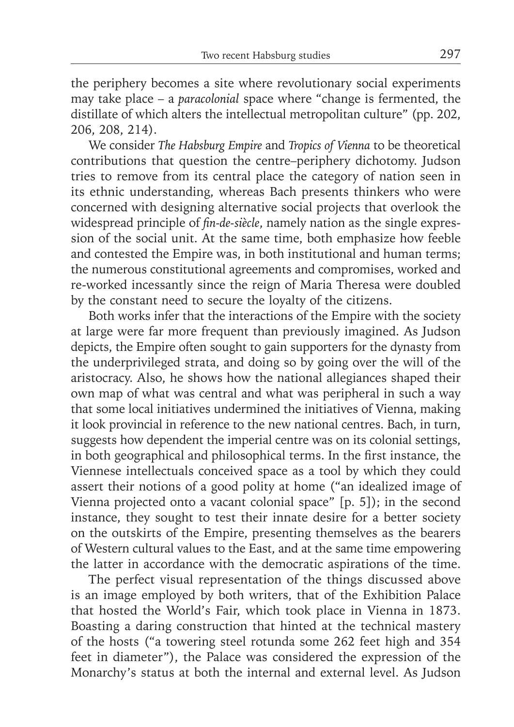the periphery becomes a site where revolutionary social experiments may take place – a *paracolonial* space where "change is fermented, the distillate of which alters the intellectual metropolitan culture" (pp. 202, 206, 208, 214).

We consider *The Habsburg Empire* and *Tropics of Vienna* to be theoretical contributions that question the centre–periphery dichotomy. Judson tries to remove from its central place the category of nation seen in its ethnic understanding, whereas Bach presents thinkers who were concerned with designing alternative social projects that overlook the widespread principle of *fin-de-siècle*, namely nation as the single expression of the social unit. At the same time, both emphasize how feeble and contested the Empire was, in both institutional and human terms; the numerous constitutional agreements and compromises, worked and re-worked incessantly since the reign of Maria Theresa were doubled by the constant need to secure the loyalty of the citizens.

Both works infer that the interactions of the Empire with the society at large were far more frequent than previously imagined. As Judson depicts, the Empire often sought to gain supporters for the dynasty from the underprivileged strata, and doing so by going over the will of the aristocracy. Also, he shows how the national allegiances shaped their own map of what was central and what was peripheral in such a way that some local initiatives undermined the initiatives of Vienna, making it look provincial in reference to the new national centres. Bach, in turn, suggests how dependent the imperial centre was on its colonial settings, in both geographical and philosophical terms. In the first instance, the Viennese intellectuals conceived space as a tool by which they could assert their notions of a good polity at home ("an idealized image of Vienna projected onto a vacant colonial space" [p. 5]); in the second instance, they sought to test their innate desire for a better society on the outskirts of the Empire, presenting themselves as the bearers of Western cultural values to the East, and at the same time empowering the latter in accordance with the democratic aspirations of the time.

The perfect visual representation of the things discussed above is an image employed by both writers, that of the Exhibition Palace that hosted the World's Fair, which took place in Vienna in 1873. Boasting a daring construction that hinted at the technical mastery of the hosts ("a towering steel rotunda some 262 feet high and 354 feet in diameter"), the Palace was considered the expression of the Monarchy's status at both the internal and external level. As Judson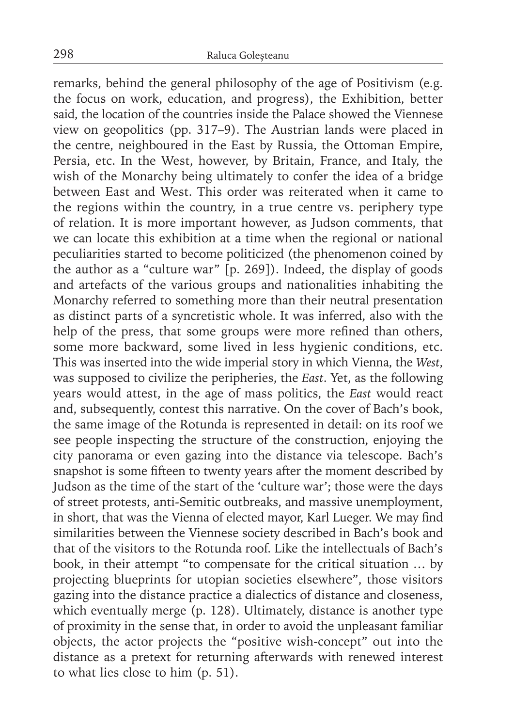remarks, behind the general philosophy of the age of Positivism (e.g. the focus on work, education, and progress), the Exhibition, better said, the location of the countries inside the Palace showed the Viennese view on geopolitics (pp. 317–9). The Austrian lands were placed in the centre, neighboured in the East by Russia, the Ottoman Empire, Persia, etc. In the West, however, by Britain, France, and Italy, the wish of the Monarchy being ultimately to confer the idea of a bridge between East and West. This order was reiterated when it came to the regions within the country, in a true centre vs. periphery type of relation. It is more important however, as Judson comments, that we can locate this exhibition at a time when the regional or national peculiarities started to become politicized (the phenomenon coined by the author as a "culture war" [p. 269]). Indeed, the display of goods and artefacts of the various groups and nationalities inhabiting the Monarchy referred to something more than their neutral presentation as distinct parts of a syncretistic whole. It was inferred, also with the help of the press, that some groups were more refined than others, some more backward, some lived in less hygienic conditions, etc. This was inserted into the wide imperial story in which Vienna, the *West*, was supposed to civilize the peripheries, the *East*. Yet, as the following years would attest, in the age of mass politics, the *East* would react and, subsequently, contest this narrative. On the cover of Bach's book, the same image of the Rotunda is represented in detail: on its roof we see people inspecting the structure of the construction, enjoying the city panorama or even gazing into the distance via telescope. Bach's snapshot is some fifteen to twenty years after the moment described by Judson as the time of the start of the 'culture war'; those were the days of street protests, anti-Semitic outbreaks, and massive unemployment, in short, that was the Vienna of elected mayor, Karl Lueger. We may find similarities between the Viennese society described in Bach's book and that of the visitors to the Rotunda roof. Like the intellectuals of Bach's book, in their attempt "to compensate for the critical situation … by projecting blueprints for utopian societies elsewhere", those visitors gazing into the distance practice a dialectics of distance and closeness, which eventually merge (p. 128). Ultimately, distance is another type of proximity in the sense that, in order to avoid the unpleasant familiar objects, the actor projects the "positive wish-concept" out into the distance as a pretext for returning afterwards with renewed interest to what lies close to him (p. 51).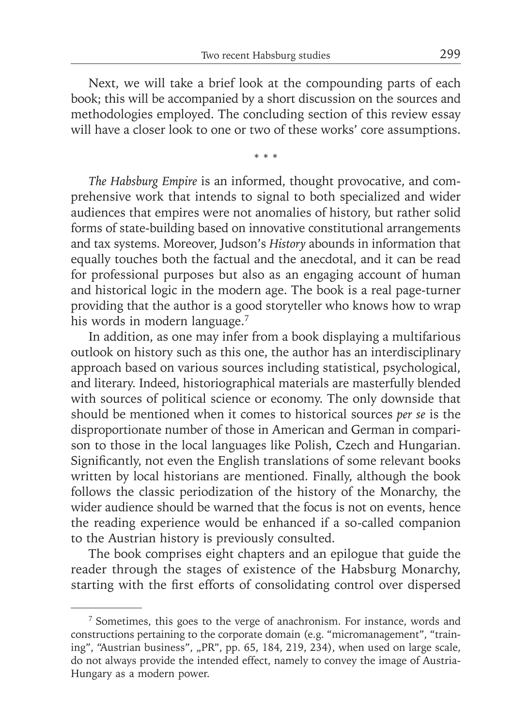Next, we will take a brief look at the compounding parts of each book; this will be accompanied by a short discussion on the sources and methodologies employed. The concluding section of this review essay will have a closer look to one or two of these works' core assumptions.

\* \* \*

*The Habsburg Empire* is an informed, thought provocative, and comprehensive work that intends to signal to both specialized and wider audiences that empires were not anomalies of history, but rather solid forms of state-building based on innovative constitutional arrangements and tax systems. Moreover, Judson's *History* abounds in information that equally touches both the factual and the anecdotal, and it can be read for professional purposes but also as an engaging account of human and historical logic in the modern age. The book is a real page-turner providing that the author is a good storyteller who knows how to wrap his words in modern language.<sup>7</sup>

In addition, as one may infer from a book displaying a multifarious outlook on history such as this one, the author has an interdisciplinary approach based on various sources including statistical, psychological, and literary. Indeed, historiographical materials are masterfully blended with sources of political science or economy. The only downside that should be mentioned when it comes to historical sources *per se* is the disproportionate number of those in American and German in comparison to those in the local languages like Polish, Czech and Hungarian. Significantly, not even the English translations of some relevant books written by local historians are mentioned. Finally, although the book follows the classic periodization of the history of the Monarchy, the wider audience should be warned that the focus is not on events, hence the reading experience would be enhanced if a so-called companion to the Austrian history is previously consulted.

The book comprises eight chapters and an epilogue that guide the reader through the stages of existence of the Habsburg Monarchy, starting with the first efforts of consolidating control over dispersed

<sup>7</sup> Sometimes, this goes to the verge of anachronism. For instance, words and constructions pertaining to the corporate domain (e.g. "micromanagement", "training", "Austrian business", "PR", pp. 65, 184, 219, 234), when used on large scale, do not always provide the intended effect, namely to convey the image of Austria-Hungary as a modern power.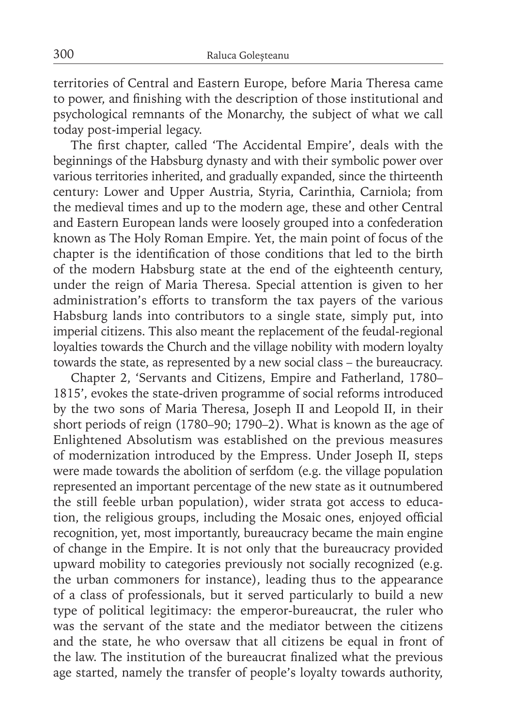territories of Central and Eastern Europe, before Maria Theresa came to power, and finishing with the description of those institutional and psychological remnants of the Monarchy, the subject of what we call today post-imperial legacy.

The first chapter, called 'The Accidental Empire', deals with the beginnings of the Habsburg dynasty and with their symbolic power over various territories inherited, and gradually expanded, since the thirteenth century: Lower and Upper Austria, Styria, Carinthia, Carniola; from the medieval times and up to the modern age, these and other Central and Eastern European lands were loosely grouped into a confederation known as The Holy Roman Empire. Yet, the main point of focus of the chapter is the identification of those conditions that led to the birth of the modern Habsburg state at the end of the eighteenth century, under the reign of Maria Theresa. Special attention is given to her administration's efforts to transform the tax payers of the various Habsburg lands into contributors to a single state, simply put, into imperial citizens. This also meant the replacement of the feudal-regional loyalties towards the Church and the village nobility with modern loyalty towards the state, as represented by a new social class – the bureaucracy.

Chapter 2, 'Servants and Citizens, Empire and Fatherland, 1780– 1815', evokes the state-driven programme of social reforms introduced by the two sons of Maria Theresa, Joseph II and Leopold II, in their short periods of reign (1780–90; 1790–2). What is known as the age of Enlightened Absolutism was established on the previous measures of modernization introduced by the Empress. Under Joseph II, steps were made towards the abolition of serfdom (e.g. the village population represented an important percentage of the new state as it outnumbered the still feeble urban population), wider strata got access to education, the religious groups, including the Mosaic ones, enjoyed official recognition, yet, most importantly, bureaucracy became the main engine of change in the Empire. It is not only that the bureaucracy provided upward mobility to categories previously not socially recognized (e.g. the urban commoners for instance), leading thus to the appearance of a class of professionals, but it served particularly to build a new type of political legitimacy: the emperor-bureaucrat, the ruler who was the servant of the state and the mediator between the citizens and the state, he who oversaw that all citizens be equal in front of the law. The institution of the bureaucrat finalized what the previous age started, namely the transfer of people's loyalty towards authority,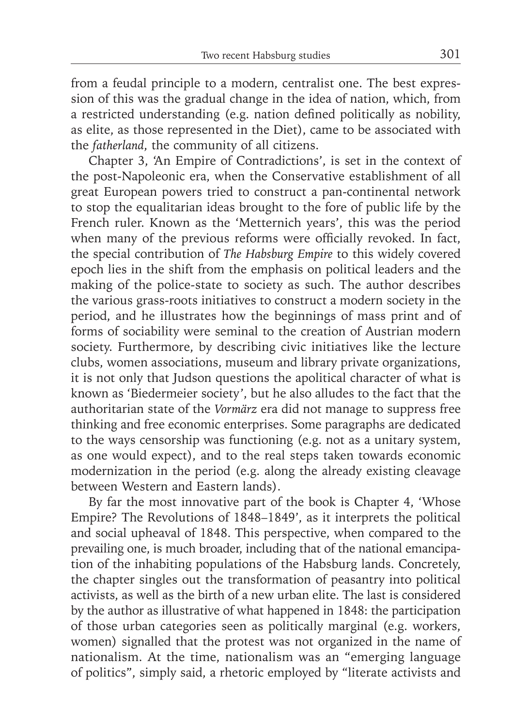from a feudal principle to a modern, centralist one. The best expression of this was the gradual change in the idea of nation, which, from a restricted understanding (e.g. nation defined politically as nobility, as elite, as those represented in the Diet), came to be associated with the *fatherland*, the community of all citizens.

Chapter 3, 'An Empire of Contradictions', is set in the context of the post-Napoleonic era, when the Conservative establishment of all great European powers tried to construct a pan-continental network to stop the equalitarian ideas brought to the fore of public life by the French ruler. Known as the 'Metternich years', this was the period when many of the previous reforms were officially revoked. In fact, the special contribution of *The Habsburg Empire* to this widely covered epoch lies in the shift from the emphasis on political leaders and the making of the police-state to society as such. The author describes the various grass-roots initiatives to construct a modern society in the period, and he illustrates how the beginnings of mass print and of forms of sociability were seminal to the creation of Austrian modern society. Furthermore, by describing civic initiatives like the lecture clubs, women associations, museum and library private organizations, it is not only that Judson questions the apolitical character of what is known as 'Biedermeier society', but he also alludes to the fact that the authoritarian state of the *Vormärz* era did not manage to suppress free thinking and free economic enterprises. Some paragraphs are dedicated to the ways censorship was functioning (e.g. not as a unitary system, as one would expect), and to the real steps taken towards economic modernization in the period (e.g. along the already existing cleavage between Western and Eastern lands).

By far the most innovative part of the book is Chapter 4, 'Whose Empire? The Revolutions of 1848–1849', as it interprets the political and social upheaval of 1848. This perspective, when compared to the prevailing one, is much broader, including that of the national emancipation of the inhabiting populations of the Habsburg lands. Concretely, the chapter singles out the transformation of peasantry into political activists, as well as the birth of a new urban elite. The last is considered by the author as illustrative of what happened in 1848: the participation of those urban categories seen as politically marginal (e.g. workers, women) signalled that the protest was not organized in the name of nationalism. At the time, nationalism was an "emerging language of politics", simply said, a rhetoric employed by "literate activists and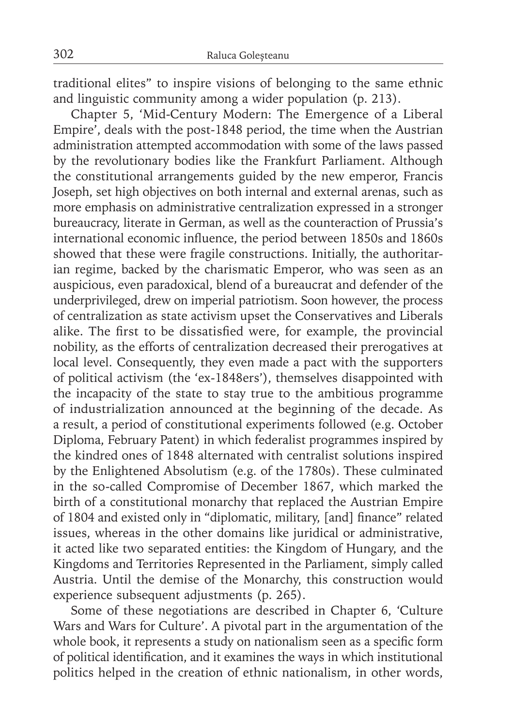traditional elites" to inspire visions of belonging to the same ethnic and linguistic community among a wider population (p. 213).

Chapter 5, 'Mid-Century Modern: The Emergence of a Liberal Empire', deals with the post-1848 period, the time when the Austrian administration attempted accommodation with some of the laws passed by the revolutionary bodies like the Frankfurt Parliament. Although the constitutional arrangements guided by the new emperor, Francis Joseph, set high objectives on both internal and external arenas, such as more emphasis on administrative centralization expressed in a stronger bureaucracy, literate in German, as well as the counteraction of Prussia's international economic influence, the period between 1850s and 1860s showed that these were fragile constructions. Initially, the authoritarian regime, backed by the charismatic Emperor, who was seen as an auspicious, even paradoxical, blend of a bureaucrat and defender of the underprivileged, drew on imperial patriotism. Soon however, the process of centralization as state activism upset the Conservatives and Liberals alike. The first to be dissatisfied were, for example, the provincial nobility, as the efforts of centralization decreased their prerogatives at local level. Consequently, they even made a pact with the supporters of political activism (the 'ex-1848ers'), themselves disappointed with the incapacity of the state to stay true to the ambitious programme of industrialization announced at the beginning of the decade. As a result, a period of constitutional experiments followed (e.g. October Diploma, February Patent) in which federalist programmes inspired by the kindred ones of 1848 alternated with centralist solutions inspired by the Enlightened Absolutism (e.g. of the 1780s). These culminated in the so-called Compromise of December 1867, which marked the birth of a constitutional monarchy that replaced the Austrian Empire of 1804 and existed only in "diplomatic, military, [and] finance" related issues, whereas in the other domains like juridical or administrative, it acted like two separated entities: the Kingdom of Hungary, and the Kingdoms and Territories Represented in the Parliament, simply called Austria. Until the demise of the Monarchy, this construction would experience subsequent adjustments (p. 265).

Some of these negotiations are described in Chapter 6, 'Culture Wars and Wars for Culture'. A pivotal part in the argumentation of the whole book, it represents a study on nationalism seen as a specific form of political identification, and it examines the ways in which institutional politics helped in the creation of ethnic nationalism, in other words,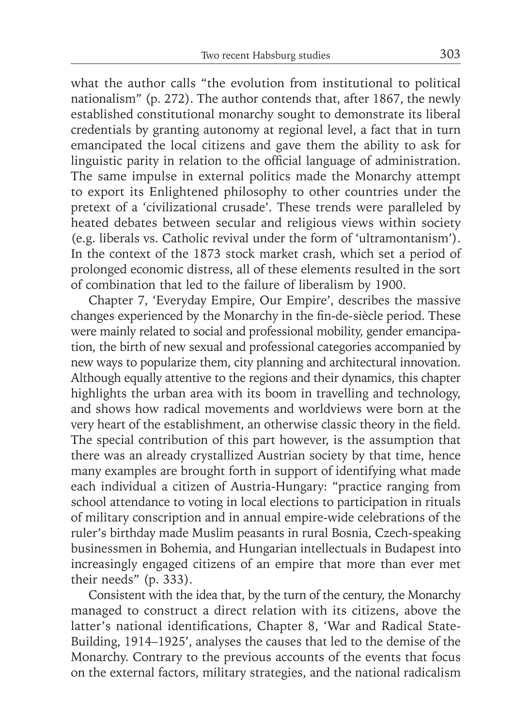what the author calls "the evolution from institutional to political nationalism" (p. 272). The author contends that, after 1867, the newly established constitutional monarchy sought to demonstrate its liberal credentials by granting autonomy at regional level, a fact that in turn emancipated the local citizens and gave them the ability to ask for linguistic parity in relation to the official language of administration. The same impulse in external politics made the Monarchy attempt to export its Enlightened philosophy to other countries under the pretext of a 'civilizational crusade'. These trends were paralleled by heated debates between secular and religious views within society (e.g. liberals vs. Catholic revival under the form of 'ultramontanism'). In the context of the 1873 stock market crash, which set a period of prolonged economic distress, all of these elements resulted in the sort of combination that led to the failure of liberalism by 1900.

Chapter 7, 'Everyday Empire, Our Empire', describes the massive changes experienced by the Monarchy in the fin-de-siècle period. These were mainly related to social and professional mobility, gender emancipation, the birth of new sexual and professional categories accompanied by new ways to popularize them, city planning and architectural innovation. Although equally attentive to the regions and their dynamics, this chapter highlights the urban area with its boom in travelling and technology, and shows how radical movements and worldviews were born at the very heart of the establishment, an otherwise classic theory in the field. The special contribution of this part however, is the assumption that there was an already crystallized Austrian society by that time, hence many examples are brought forth in support of identifying what made each individual a citizen of Austria-Hungary: "practice ranging from school attendance to voting in local elections to participation in rituals of military conscription and in annual empire-wide celebrations of the ruler's birthday made Muslim peasants in rural Bosnia, Czech-speaking businessmen in Bohemia, and Hungarian intellectuals in Budapest into increasingly engaged citizens of an empire that more than ever met their needs" (p. 333).

Consistent with the idea that, by the turn of the century, the Monarchy managed to construct a direct relation with its citizens, above the latter's national identifications, Chapter 8, 'War and Radical State-Building, 1914–1925', analyses the causes that led to the demise of the Monarchy. Contrary to the previous accounts of the events that focus on the external factors, military strategies, and the national radicalism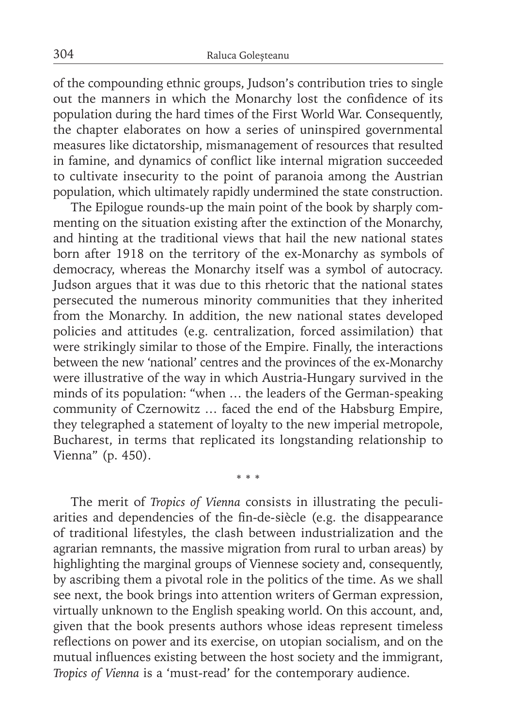of the compounding ethnic groups, Judson's contribution tries to single out the manners in which the Monarchy lost the confidence of its population during the hard times of the First World War. Consequently, the chapter elaborates on how a series of uninspired governmental measures like dictatorship, mismanagement of resources that resulted in famine, and dynamics of conflict like internal migration succeeded to cultivate insecurity to the point of paranoia among the Austrian population, which ultimately rapidly undermined the state construction.

The Epilogue rounds-up the main point of the book by sharply commenting on the situation existing after the extinction of the Monarchy, and hinting at the traditional views that hail the new national states born after 1918 on the territory of the ex-Monarchy as symbols of democracy, whereas the Monarchy itself was a symbol of autocracy. Judson argues that it was due to this rhetoric that the national states persecuted the numerous minority communities that they inherited from the Monarchy. In addition, the new national states developed policies and attitudes (e.g. centralization, forced assimilation) that were strikingly similar to those of the Empire. Finally, the interactions between the new 'national' centres and the provinces of the ex-Monarchy were illustrative of the way in which Austria-Hungary survived in the minds of its population: "when … the leaders of the German-speaking community of Czernowitz … faced the end of the Habsburg Empire, they telegraphed a statement of loyalty to the new imperial metropole, Bucharest, in terms that replicated its longstanding relationship to Vienna" (p. 450).

The merit of *Tropics of Vienna* consists in illustrating the peculiarities and dependencies of the fin-de-siècle (e.g. the disappearance of traditional lifestyles, the clash between industrialization and the agrarian remnants, the massive migration from rural to urban areas) by highlighting the marginal groups of Viennese society and, consequently, by ascribing them a pivotal role in the politics of the time. As we shall see next, the book brings into attention writers of German expression, virtually unknown to the English speaking world. On this account, and, given that the book presents authors whose ideas represent timeless reflections on power and its exercise, on utopian socialism, and on the mutual influences existing between the host society and the immigrant, *Tropics of Vienna* is a 'must-read' for the contemporary audience.

\* \* \*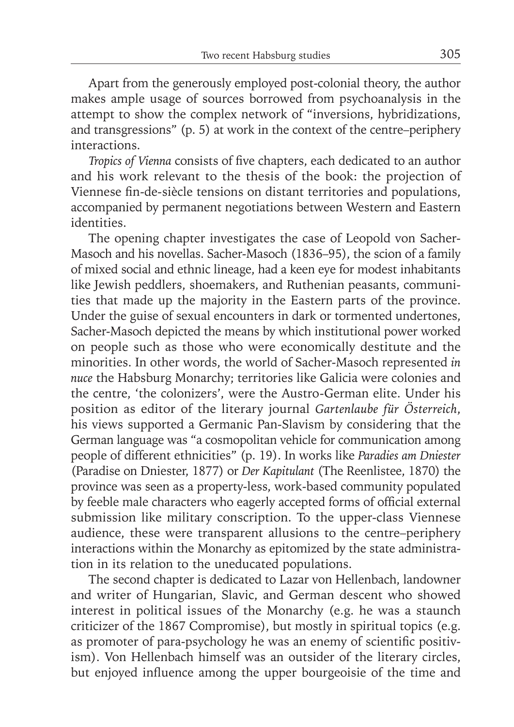Apart from the generously employed post-colonial theory, the author makes ample usage of sources borrowed from psychoanalysis in the attempt to show the complex network of "inversions, hybridizations, and transgressions" (p. 5) at work in the context of the centre–periphery interactions.

*Tropics of Vienna consists of five chapters, each dedicated to an author* and his work relevant to the thesis of the book: the projection of Viennese fin-de-siècle tensions on distant territories and populations, accompanied by permanent negotiations between Western and Eastern identities.

The opening chapter investigates the case of Leopold von Sacher-Masoch and his novellas. Sacher-Masoch (1836–95), the scion of a family of mixed social and ethnic lineage, had a keen eye for modest inhabitants like Jewish peddlers, shoemakers, and Ruthenian peasants, communities that made up the majority in the Eastern parts of the province. Under the guise of sexual encounters in dark or tormented undertones, Sacher-Masoch depicted the means by which institutional power worked on people such as those who were economically destitute and the minorities. In other words, the world of Sacher-Masoch represented *in nuce* the Habsburg Monarchy; territories like Galicia were colonies and the centre, 'the colonizers', were the Austro-German elite. Under his position as editor of the literary journal *Gartenlaube für Öster reich*, his views supported a Germanic Pan-Slavism by considering that the German language was "a cosmopolitan vehicle for communication among people of different ethnicities" (p. 19). In works like *Paradies am Dniester* (Paradise on Dniester, 1877) or *Der Kapitulant* (The Reenlistee, 1870) the province was seen as a property-less, work-based community populated by feeble male characters who eagerly accepted forms of official external submission like military conscription. To the upper-class Viennese audience, these were transparent allusions to the centre–periphery interactions within the Monarchy as epitomized by the state administration in its relation to the uneducated populations.

The second chapter is dedicated to Lazar von Hellenbach, landowner and writer of Hungarian, Slavic, and German descent who showed interest in political issues of the Monarchy (e.g. he was a staunch criticizer of the 1867 Compromise), but mostly in spiritual topics (e.g. as promoter of para-psychology he was an enemy of scientific positivism). Von Hellenbach himself was an outsider of the literary circles, but enjoyed influence among the upper bourgeoisie of the time and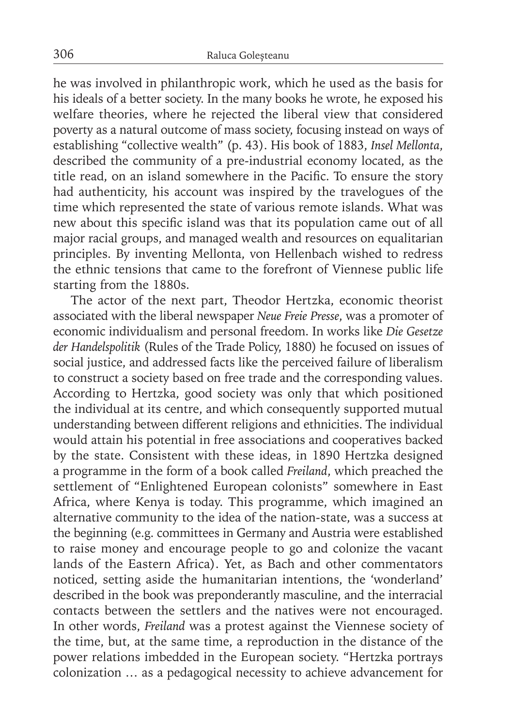he was involved in philanthropic work, which he used as the basis for his ideals of a better society. In the many books he wrote, he exposed his welfare theories, where he rejected the liberal view that considered poverty as a natural outcome of mass society, focusing instead on ways of establishing "collective wealth" (p. 43). His book of 1883, *Insel Mellonta*, described the community of a pre-industrial economy located, as the title read, on an island somewhere in the Pacific. To ensure the story had authenticity, his account was inspired by the travelogues of the time which represented the state of various remote islands. What was new about this specific island was that its population came out of all major racial groups, and managed wealth and resources on equalitarian principles. By inventing Mellonta, von Hellenbach wished to redress the ethnic tensions that came to the forefront of Viennese public life starting from the 1880s.

The actor of the next part, Theodor Hertzka, economic theorist associated with the liberal newspaper *Neue Freie Presse*, was a promoter of economic individualism and personal freedom. In works like *Die Gesetze der Handelspolitik* (Rules of the Trade Policy, 1880) he focused on issues of social justice, and addressed facts like the perceived failure of liberalism to construct a society based on free trade and the corresponding values. According to Hertzka, good society was only that which positioned the individual at its centre, and which consequently supported mutual understanding between different religions and ethnicities. The individual would attain his potential in free associations and cooperatives backed by the state. Consistent with these ideas, in 1890 Hertzka designed a programme in the form of a book called *Freiland*, which preached the settlement of "Enlightened European colonists" somewhere in East Africa, where Kenya is today. This programme, which imagined an alternative community to the idea of the nation-state, was a success at the beginning (e.g. committees in Germany and Austria were established to raise money and encourage people to go and colonize the vacant lands of the Eastern Africa). Yet, as Bach and other commentators noticed, setting aside the humanitarian intentions, the 'wonderland' described in the book was preponderantly masculine, and the interracial contacts between the settlers and the natives were not encouraged. In other words, *Freiland* was a protest against the Viennese society of the time, but, at the same time, a reproduction in the distance of the power relations imbedded in the European society. "Hertzka portrays colonization … as a pedagogical necessity to achieve advancement for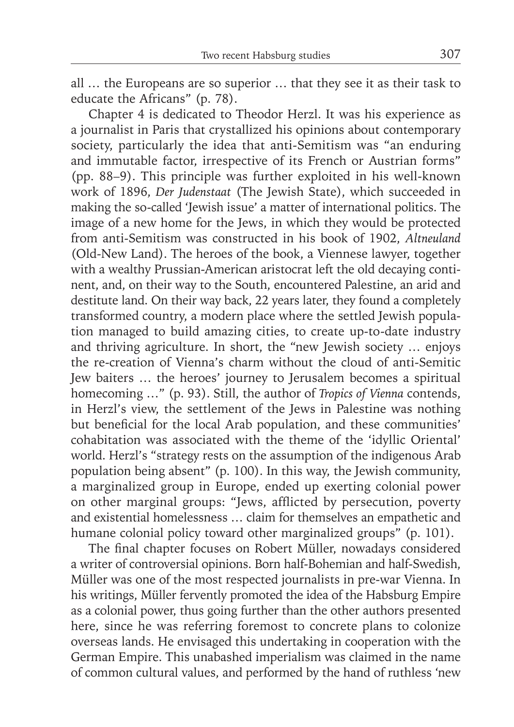all … the Europeans are so superior … that they see it as their task to educate the Africans" (p. 78).

Chapter 4 is dedicated to Theodor Herzl. It was his experience as a journalist in Paris that crystallized his opinions about contemporary society, particularly the idea that anti-Semitism was "an enduring and immutable factor, irrespective of its French or Austrian forms" (pp. 88–9). This principle was further exploited in his well-known work of 1896, *Der Judenstaat* (The Jewish State), which succeeded in making the so-called 'Jewish issue' a matter of international politics. The image of a new home for the Jews, in which they would be protected from anti-Semitism was constructed in his book of 1902, *Altneuland* (Old-New Land). The heroes of the book, a Viennese lawyer, together with a wealthy Prussian-American aristocrat left the old decaying continent, and, on their way to the South, encountered Palestine, an arid and destitute land. On their way back, 22 years later, they found a completely transformed country, a modern place where the settled Jewish population managed to build amazing cities, to create up-to-date industry and thriving agriculture. In short, the "new Jewish society … enjoys the re-creation of Vienna's charm without the cloud of anti-Semitic Jew baiters … the heroes' journey to Jerusalem becomes a spiritual homecoming …" (p. 93). Still, the author of *Tropics of Vienna* contends, in Herzl's view, the settlement of the Jews in Palestine was nothing but beneficial for the local Arab population, and these communities' cohabitation was associated with the theme of the 'idyllic Oriental' world. Herzl's "strategy rests on the assumption of the indigenous Arab population being absent" (p. 100). In this way, the Jewish community, a marginalized group in Europe, ended up exerting colonial power on other marginal groups: "Jews, afflicted by persecution, poverty and existential homelessness … claim for themselves an empathetic and humane colonial policy toward other marginalized groups" (p. 101).

The final chapter focuses on Robert Müller, nowadays considered a writer of controversial opinions. Born half-Bohemian and half-Swedish, Müller was one of the most respected journalists in pre-war Vienna. In his writings, Müller fervently promoted the idea of the Habsburg Empire as a colonial power, thus going further than the other authors presented here, since he was referring foremost to concrete plans to colonize overseas lands. He envisaged this undertaking in cooperation with the German Empire. This unabashed imperialism was claimed in the name of common cultural values, and performed by the hand of ruthless 'new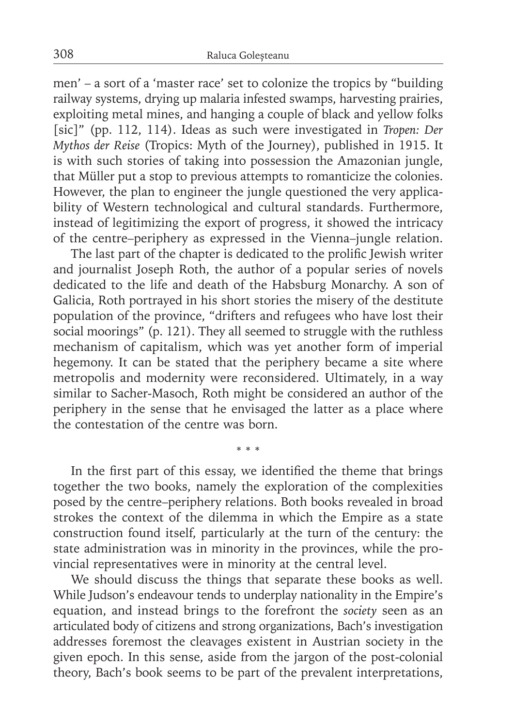men' – a sort of a 'master race' set to colonize the tropics by "building railway systems, drying up malaria infested swamps, harvesting prairies, exploiting metal mines, and hanging a couple of black and yellow folks [sic]" (pp. 112, 114). Ideas as such were investigated in *Tropen: Der Mythos der Reise* (Tropics: Myth of the Journey), published in 1915. It is with such stories of taking into possession the Amazonian jungle, that Müller put a stop to previous attempts to romanticize the colonies. However, the plan to engineer the jungle questioned the very applicability of Western technological and cultural standards. Furthermore, instead of legitimizing the export of progress, it showed the intricacy of the centre–periphery as expressed in the Vienna–jungle relation.

The last part of the chapter is dedicated to the prolific Jewish writer and journalist Joseph Roth, the author of a popular series of novels dedicated to the life and death of the Habsburg Monarchy. A son of Galicia, Roth portrayed in his short stories the misery of the destitute population of the province, "drifters and refugees who have lost their social moorings" (p. 121). They all seemed to struggle with the ruthless mechanism of capitalism, which was yet another form of imperial hegemony. It can be stated that the periphery became a site where metropolis and modernity were reconsidered. Ultimately, in a way similar to Sacher-Masoch, Roth might be considered an author of the periphery in the sense that he envisaged the latter as a place where the contestation of the centre was born.

In the first part of this essay, we identified the theme that brings together the two books, namely the exploration of the complexities posed by the centre–periphery relations. Both books revealed in broad strokes the context of the dilemma in which the Empire as a state construction found itself, particularly at the turn of the century: the state administration was in minority in the provinces, while the provincial representatives were in minority at the central level.

\* \* \*

We should discuss the things that separate these books as well. While Judson's endeavour tends to underplay nationality in the Empire's equation, and instead brings to the forefront the *society* seen as an articulated body of citizens and strong organizations, Bach's investigation addresses foremost the cleavages existent in Austrian society in the given epoch. In this sense, aside from the jargon of the post-colonial theory, Bach's book seems to be part of the prevalent interpretations,